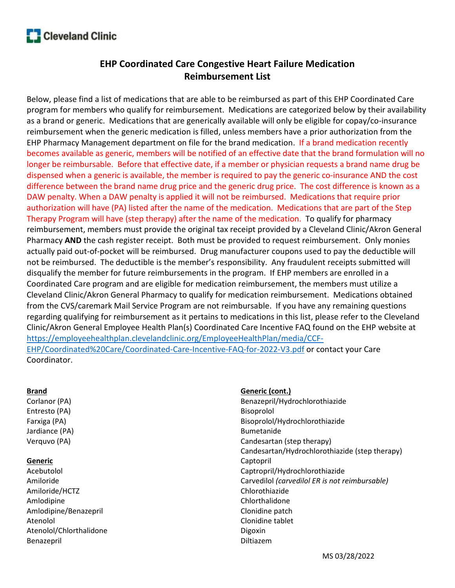

## EHP Coordinated Care Congestive Heart Failure Medication Reimbursement List

Below, please find a list of medications that are able to be reimbursed as part of this EHP Coordinated Care program for members who qualify for reimbursement. Medications are categorized below by their availability as a brand or generic. Medications that are generically available will only be eligible for copay/co-insurance reimbursement when the generic medication is filled, unless members have a prior authorization from the EHP Pharmacy Management department on file for the brand medication. If a brand medication recently becomes available as generic, members will be notified of an effective date that the brand formulation will no longer be reimbursable. Before that effective date, if a member or physician requests a brand name drug be dispensed when a generic is available, the member is required to pay the generic co-insurance AND the cost difference between the brand name drug price and the generic drug price. The cost difference is known as a DAW penalty. When a DAW penalty is applied it will not be reimbursed. Medications that require prior authorization will have (PA) listed after the name of the medication. Medications that are part of the Step Therapy Program will have (step therapy) after the name of the medication. To qualify for pharmacy reimbursement, members must provide the original tax receipt provided by a Cleveland Clinic/Akron General Pharmacy AND the cash register receipt. Both must be provided to request reimbursement. Only monies actually paid out-of-pocket will be reimbursed. Drug manufacturer coupons used to pay the deductible will not be reimbursed. The deductible is the member's responsibility. Any fraudulent receipts submitted will disqualify the member for future reimbursements in the program. If EHP members are enrolled in a Coordinated Care program and are eligible for medication reimbursement, the members must utilize a Cleveland Clinic/Akron General Pharmacy to qualify for medication reimbursement. Medications obtained from the CVS/caremark Mail Service Program are not reimbursable. If you have any remaining questions regarding qualifying for reimbursement as it pertains to medications in this list, please refer to the Cleveland Clinic/Akron General Employee Health Plan(s) Coordinated Care Incentive FAQ found on the EHP website at https://employeehealthplan.clevelandclinic.org/EmployeeHealthPlan/media/CCF-EHP/Coordinated%20Care/Coordinated-Care-Incentive-FAQ-for-2022-V3.pdf or contact your Care Coordinator.

## Brand

Corlanor (PA) Entresto (PA) Farxiga (PA) Jardiance (PA) Verquvo (PA)

## **Generic**

Acebutolol Amiloride Amiloride/HCTZ Amlodipine Amlodipine/Benazepril Atenolol Atenolol/Chlorthalidone Benazepril

Generic (cont.) Benazepril/Hydrochlorothiazide Bisoprolol Bisoprolol/Hydrochlorothiazide Bumetanide Candesartan (step therapy) Candesartan/Hydrochlorothiazide (step therapy) Captopril Captropril/Hydrochlorothiazide Carvedilol (carvedilol ER is not reimbursable) Chlorothiazide Chlorthalidone Clonidine patch Clonidine tablet Digoxin Diltiazem